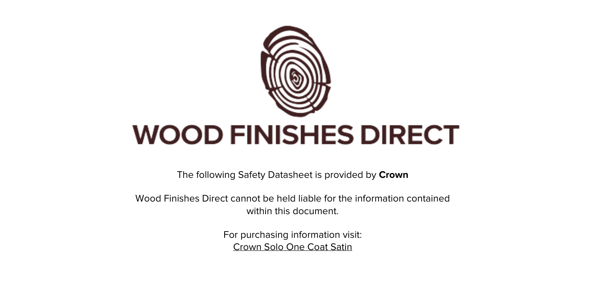

The following Safety Datasheet is provided by **Crown**

Wood Finishes Direct cannot be held liable for the information contained within this document

> For purchasing information visit: [Crown Solo One Coat Satin](https://www.wood-finishes-direct.com/product/crown-solo-one-coat-satin)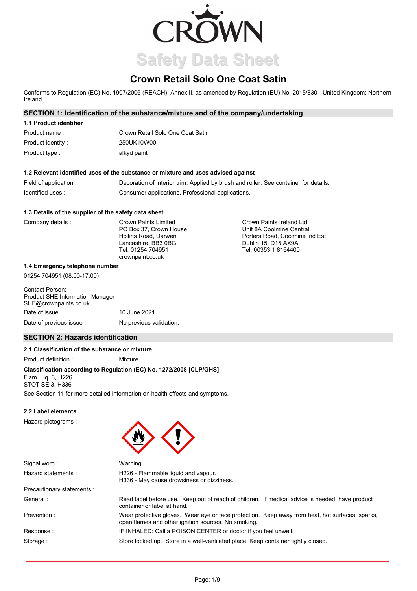

# **Crown Retail Solo One Coat Satin**

Conforms to Regulation (EC) No. 1907/2006 (REACH), Annex II, as amended by Regulation (EU) No. 2015/830 - United Kingdom: Northern Ireland

## **SECTION 1: Identification of the substance/mixture and of the company/undertaking**

| 1.1 Product identifier |                                  |
|------------------------|----------------------------------|
| Product name:          | Crown Retail Solo One Coat Satin |
| Product identity:      | 250UK10W00                       |
| Product type:          | alkyd paint                      |

## **1.2 Relevant identified uses of the substance or mixture and uses advised against**

| Field of application : | Decoration of Interior trim. Applied by brush and roller. See container for details. |
|------------------------|--------------------------------------------------------------------------------------|
| Identified uses:       | Consumer applications, Professional applications.                                    |

#### **1.3 Details of the supplier of the safety data sheet**

| Company details : | Crown Paints Limited   | Crown Paints Ireland Ltd.      |
|-------------------|------------------------|--------------------------------|
|                   | PO Box 37. Crown House | Unit 8A Coolmine Central       |
|                   | Hollins Road, Darwen   | Porters Road, Coolmine Ind Est |
|                   | Lancashire, BB3 0BG    | Dublin 15, D15 AX9A            |
|                   | Tel: 01254 704951      | Tel: 00353 1 8164400           |
|                   | crownpaint.co.uk       |                                |

#### **1.4 Emergency telephone number**

01254 704951 (08.00-17.00)

| Contact Person:<br><b>Product SHE Information Manager</b><br>SHE@crownpaints.co.uk |                         |
|------------------------------------------------------------------------------------|-------------------------|
| Date of issue :                                                                    | 10 June 2021            |
| Date of previous issue:                                                            | No previous validation. |

## **SECTION 2: Hazards identification**

## **2.1 Classification of the substance or mixture**

Product definition : Mixture

## **Classification according to Regulation (EC) No. 1272/2008 [CLP/GHS]**

Flam. Liq. 3, H226 STOT SE 3, H336

See Section 11 for more detailed information on health effects and symptoms.

Warning

## **2.2 Label elements**

Hazard pictograms :



container or label at hand.

Signal word : Hazard statements :

H226 - Flammable liquid and vapour. H336 - May cause drowsiness or dizziness.

open flames and other ignition sources. No smoking.

Precautionary statements : General :

Prevention :

Response : Storage :

Store locked up. Store in a well-ventilated place. Keep container tightly closed.

Wear protective gloves. Wear eye or face protection. Keep away from heat, hot surfaces, sparks,

Read label before use. Keep out of reach of children. If medical advice is needed, have product

IF INHALED: Call a POISON CENTER or doctor if you feel unwell.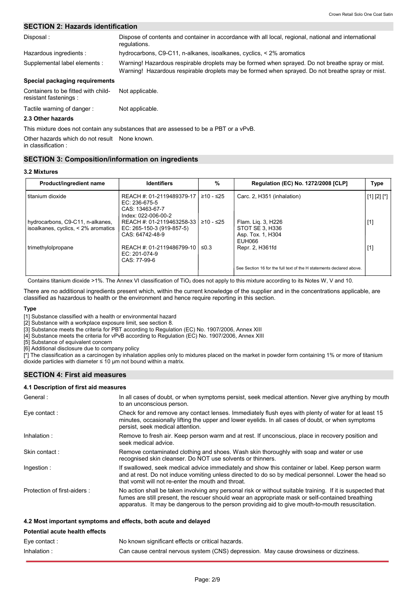## **SECTION 2: Hazards identification**

| Disposal:                                                     | Dispose of contents and container in accordance with all local, regional, national and international<br>regulations.                                                                                 |
|---------------------------------------------------------------|------------------------------------------------------------------------------------------------------------------------------------------------------------------------------------------------------|
| Hazardous ingredients:                                        | hydrocarbons, C9-C11, n-alkanes, isoalkanes, cyclics, < 2% aromatics                                                                                                                                 |
| Supplemental label elements :                                 | Warning! Hazardous respirable droplets may be formed when sprayed. Do not breathe spray or mist.<br>Warning! Hazardous respirable droplets may be formed when sprayed. Do not breathe spray or mist. |
| Special packaging requirements                                |                                                                                                                                                                                                      |
| Containers to be fitted with child-<br>resistant fastenings : | Not applicable.                                                                                                                                                                                      |

Tactile warning of danger : Not applicable.

## **2.3 Other hazards**

This mixture does not contain any substances that are assessed to be a PBT or a vPvB.

Other hazards which do not result None known.

in classification :

## **SECTION 3: Composition/information on ingredients**

## **3.2 Mixtures**

| Product/ingredient name                                                 | <b>Identifiers</b>                                                                     | %         | Regulation (EC) No. 1272/2008 [CLP]                                  | Type        |
|-------------------------------------------------------------------------|----------------------------------------------------------------------------------------|-----------|----------------------------------------------------------------------|-------------|
| titanium dioxide                                                        | REACH #: 01-2119489379-17  <br>EC: 236-675-5<br>CAS: 13463-67-7<br>Index: 022-006-00-2 | ≥10 - ≤25 | Carc. 2, H351 (inhalation)                                           | [1] [2] [*] |
| hydrocarbons, C9-C11, n-alkanes,<br>isoalkanes, cyclics, < 2% aromatics | REACH #: 01-2119463258-33 l<br>EC: 265-150-3 (919-857-5)<br>CAS: 64742-48-9            | ≥10 - ≤25 | Flam. Lig. 3, H226<br>STOT SE 3. H336<br>Asp. Tox. 1, H304<br>EUH066 | $[1]$       |
| trimethylolpropane                                                      | REACH #: 01-2119486799-10  <br>EC: 201-074-9<br>CAS: 77-99-6                           | ≤0.3      | Repr. 2, H361fd                                                      | $[1]$       |
|                                                                         |                                                                                        |           | See Section 16 for the full text of the H statements declared above. |             |

Contains titanium dioxide >1%. The Annex VI classification of TiO<sub>2</sub> does not apply to this mixture according to its Notes W, V and 10.

There are no additional ingredients present which, within the current knowledge of the supplier and in the concentrations applicable, are classified as hazardous to health or the environment and hence require reporting in this section.

#### **Type**

[1] Substance classified with a health or environmental hazard

[2] Substance with a workplace exposure limit, see section 8.

[3] Substance meets the criteria for PBT according to Regulation (EC) No. 1907/2006, Annex XIII

[4] Substance meets the criteria for vPvB according to Regulation (EC) No. 1907/2006, Annex XIII

[5] Substance of equivalent concern

[6] Additional disclosure due to company policy

[\*] The classification as a carcinogen by inhalation applies only to mixtures placed on the market in powder form containing 1% or more of titanium dioxide particles with diameter  $\leq 10$  µm not bound within a matrix.

## **SECTION 4: First aid measures**

## **4.1 Description of first aid measures**

| General:                       | In all cases of doubt, or when symptoms persist, seek medical attention. Never give anything by mouth<br>to an unconscious person.                                                                                                                                                                                 |
|--------------------------------|--------------------------------------------------------------------------------------------------------------------------------------------------------------------------------------------------------------------------------------------------------------------------------------------------------------------|
| Eye contact:                   | Check for and remove any contact lenses. Immediately flush eyes with plenty of water for at least 15<br>minutes, occasionally lifting the upper and lower eyelids. In all cases of doubt, or when symptoms<br>persist, seek medical attention.                                                                     |
| Inhalation:                    | Remove to fresh air. Keep person warm and at rest. If unconscious, place in recovery position and<br>seek medical advice.                                                                                                                                                                                          |
| Skin contact:                  | Remove contaminated clothing and shoes. Wash skin thoroughly with soap and water or use<br>recognised skin cleanser. Do NOT use solvents or thinners.                                                                                                                                                              |
| Ingestion:                     | If swallowed, seek medical advice immediately and show this container or label. Keep person warm<br>and at rest. Do not induce vomiting unless directed to do so by medical personnel. Lower the head so<br>that vomit will not re-enter the mouth and throat.                                                     |
| Protection of first-aiders:    | No action shall be taken involving any personal risk or without suitable training. If it is suspected that<br>fumes are still present, the rescuer should wear an appropriate mask or self-contained breathing<br>apparatus. It may be dangerous to the person providing aid to give mouth-to-mouth resuscitation. |
|                                | 4.2 Most important symptoms and effects, both acute and delayed                                                                                                                                                                                                                                                    |
| Potential acute health effects |                                                                                                                                                                                                                                                                                                                    |

#### Can cause central nervous system (CNS) depression. May cause drowsiness or dizziness. No known significant effects or critical hazards. Eye contact : Inhalation :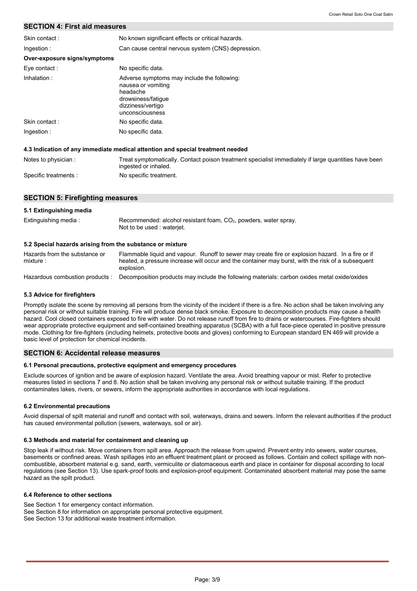## **SECTION 4: First aid measures**

| Skin contact:                | No known significant effects or critical hazards.                                                                                           |
|------------------------------|---------------------------------------------------------------------------------------------------------------------------------------------|
| Ingestion:                   | Can cause central nervous system (CNS) depression.                                                                                          |
| Over-exposure signs/symptoms |                                                                                                                                             |
| Eye contact:                 | No specific data.                                                                                                                           |
| Inhalation:                  | Adverse symptoms may include the following:<br>nausea or vomiting<br>headache<br>drowsiness/fatique<br>dizziness/vertigo<br>unconsciousness |
| Skin contact:                | No specific data.                                                                                                                           |
| Ingestion :                  | No specific data.                                                                                                                           |
|                              | 4.3 Indication of any immediate medical attention and special treatment needed                                                              |
| Notes to physician:          | Treat symptomatically. Contact poison treatment specialist immediately if large quantities have been<br>ingested or inhaled.                |

## **SECTION 5: Firefighting measures**

#### Hazards from the substance or mixture : Flammable liquid and vapour. Runoff to sewer may create fire or explosion hazard. In a fire or if heated, a pressure increase will occur and the container may burst, with the risk of a subsequent **5.1 Extinguishing media** Extinguishing media : **5.2 Special hazards arising from the substance or mixture** Recommended: alcohol resistant foam, CO<sub>2</sub>, powders, water spray. Not to be used : waterjet.

No specific treatment.

Hazardous combustion products : explosion. Decomposition products may include the following materials: carbon oxides metal oxide/oxides

#### **5.3 Advice for firefighters**

Specific treatments :

Promptly isolate the scene by removing all persons from the vicinity of the incident if there is a fire. No action shall be taken involving any personal risk or without suitable training. Fire will produce dense black smoke. Exposure to decomposition products may cause a health hazard. Cool closed containers exposed to fire with water. Do not release runoff from fire to drains or watercourses. Fire-fighters should wear appropriate protective equipment and self-contained breathing apparatus (SCBA) with a full face-piece operated in positive pressure mode. Clothing for fire-fighters (including helmets, protective boots and gloves) conforming to European standard EN 469 will provide a basic level of protection for chemical incidents.

## **SECTION 6: Accidental release measures**

#### **6.1 Personal precautions, protective equipment and emergency procedures**

Exclude sources of ignition and be aware of explosion hazard. Ventilate the area. Avoid breathing vapour or mist. Refer to protective measures listed in sections 7 and 8. No action shall be taken involving any personal risk or without suitable training. If the product contaminates lakes, rivers, or sewers, inform the appropriate authorities in accordance with local regulations.

#### **6.2 Environmental precautions**

Avoid dispersal of spilt material and runoff and contact with soil, waterways, drains and sewers. Inform the relevant authorities if the product has caused environmental pollution (sewers, waterways, soil or air).

#### **6.3 Methods and material for containment and cleaning up**

Stop leak if without risk. Move containers from spill area. Approach the release from upwind. Prevent entry into sewers, water courses, basements or confined areas. Wash spillages into an effluent treatment plant or proceed as follows. Contain and collect spillage with noncombustible, absorbent material e.g. sand, earth, vermiculite or diatomaceous earth and place in container for disposal according to local regulations (see Section 13). Use spark-proof tools and explosion-proof equipment. Contaminated absorbent material may pose the same hazard as the spilt product.

## **6.4 Reference to other sections**

See Section 1 for emergency contact information. See Section 8 for information on appropriate personal protective equipment. See Section 13 for additional waste treatment information.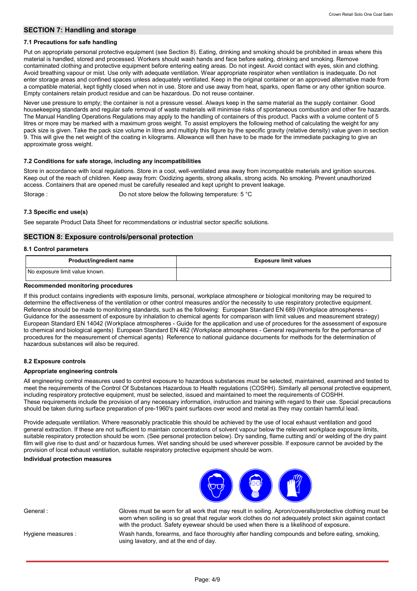## **SECTION 7: Handling and storage**

#### **7.1 Precautions for safe handling**

Put on appropriate personal protective equipment (see Section 8). Eating, drinking and smoking should be prohibited in areas where this material is handled, stored and processed. Workers should wash hands and face before eating, drinking and smoking. Remove contaminated clothing and protective equipment before entering eating areas. Do not ingest. Avoid contact with eyes, skin and clothing. Avoid breathing vapour or mist. Use only with adequate ventilation. Wear appropriate respirator when ventilation is inadequate. Do not enter storage areas and confined spaces unless adequately ventilated. Keep in the original container or an approved alternative made from a compatible material, kept tightly closed when not in use. Store and use away from heat, sparks, open flame or any other ignition source. Empty containers retain product residue and can be hazardous. Do not reuse container.

Never use pressure to empty; the container is not a pressure vessel. Always keep in the same material as the supply container. Good housekeeping standards and regular safe removal of waste materials will minimise risks of spontaneous combustion and other fire hazards. The Manual Handling Operations Regulations may apply to the handling of containers of this product. Packs with a volume content of 5 litres or more may be marked with a maximum gross weight. To assist employers the following method of calculating the weight for any pack size is given. Take the pack size volume in litres and multiply this figure by the specific gravity (relative density) value given in section 9. This will give the net weight of the coating in kilograms. Allowance will then have to be made for the immediate packaging to give an approximate gross weight.

#### **7.2 Conditions for safe storage, including any incompatibilities**

Store in accordance with local regulations. Store in a cool, well-ventilated area away from incompatible materials and ignition sources. Keep out of the reach of children. Keep away from: Oxidizing agents, strong alkalis, strong acids. No smoking. Prevent unauthorized access. Containers that are opened must be carefully resealed and kept upright to prevent leakage. Storage : Do not store below the following temperature: 5 °C

**7.3 Specific end use(s)**

See separate Product Data Sheet for recommendations or industrial sector specific solutions.

#### **SECTION 8: Exposure controls/personal protection**

#### **8.1 Control parameters**

| <b>Product/ingredient name</b> | <b>Exposure limit values</b> |
|--------------------------------|------------------------------|
| No exposure limit value known. |                              |

#### **Recommended monitoring procedures**

If this product contains ingredients with exposure limits, personal, workplace atmosphere or biological monitoring may be required to determine the effectiveness of the ventilation or other control measures and/or the necessity to use respiratory protective equipment. Reference should be made to monitoring standards, such as the following: European Standard EN 689 (Workplace atmospheres - Guidance for the assessment of exposure by inhalation to chemical agents for comparison with limit values and measurement strategy) European Standard EN 14042 (Workplace atmospheres - Guide for the application and use of procedures for the assessment of exposure to chemical and biological agents) European Standard EN 482 (Workplace atmospheres - General requirements for the performance of procedures for the measurement of chemical agents) Reference to national guidance documents for methods for the determination of hazardous substances will also be required.

#### **8.2 Exposure controls**

#### **Appropriate engineering controls**

All engineering control measures used to control exposure to hazardous substances must be selected, maintained, examined and tested to meet the requirements of the Control Of Substances Hazardous to Health regulations (COSHH). Similarly all personal protective equipment, including respiratory protective equipment, must be selected, issued and maintained to meet the requirements of COSHH. These requirements include the provision of any necessary information, instruction and training with regard to their use. Special precautions should be taken during surface preparation of pre-1960's paint surfaces over wood and metal as they may contain harmful lead.

Provide adequate ventilation. Where reasonably practicable this should be achieved by the use of local exhaust ventilation and good general extraction. If these are not sufficient to maintain concentrations of solvent vapour below the relevant workplace exposure limits, suitable respiratory protection should be worn. (See personal protection below). Dry sanding, flame cutting and/ or welding of the dry paint film will give rise to dust and/ or hazardous fumes. Wet sanding should be used wherever possible. If exposure cannot be avoided by the provision of local exhaust ventilation, suitable respiratory protective equipment should be worn.

## **Individual protection measures**



General : Gloves must be worn for all work that may result in soiling. Apron/coveralls/protective clothing must be worn when soiling is so great that regular work clothes do not adequately protect skin against contact with the product. Safety eyewear should be used when there is a likelihood of exposure.

Hygiene measures :

Wash hands, forearms, and face thoroughly after handling compounds and before eating, smoking, using lavatory, and at the end of day.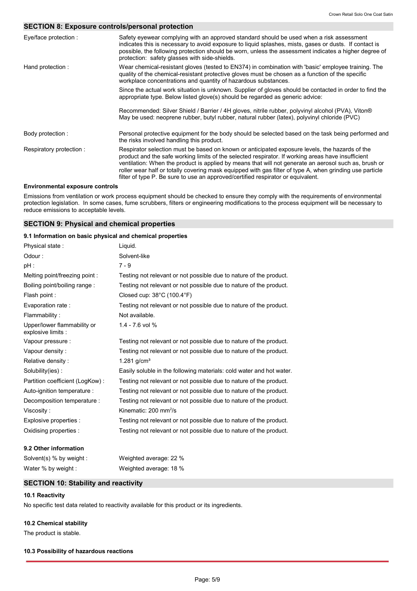## **SECTION 8: Exposure controls/personal protection**

| Eye/face protection:                   | Safety eyewear complying with an approved standard should be used when a risk assessment<br>indicates this is necessary to avoid exposure to liquid splashes, mists, gases or dusts. If contact is<br>possible, the following protection should be worn, unless the assessment indicates a higher degree of<br>protection: safety glasses with side-shields.                                                                                                                                                  |
|----------------------------------------|---------------------------------------------------------------------------------------------------------------------------------------------------------------------------------------------------------------------------------------------------------------------------------------------------------------------------------------------------------------------------------------------------------------------------------------------------------------------------------------------------------------|
| Hand protection:                       | Wear chemical-resistant gloves (tested to EN374) in combination with 'basic' employee training. The<br>quality of the chemical-resistant protective gloves must be chosen as a function of the specific<br>workplace concentrations and quantity of hazardous substances.                                                                                                                                                                                                                                     |
|                                        | Since the actual work situation is unknown. Supplier of gloves should be contacted in order to find the<br>appropriate type. Below listed glove(s) should be regarded as generic advice:                                                                                                                                                                                                                                                                                                                      |
|                                        | Recommended: Silver Shield / Barrier / 4H gloves, nitrile rubber, polyvinyl alcohol (PVA), Viton®<br>May be used: neoprene rubber, butyl rubber, natural rubber (latex), polyvinyl chloride (PVC)                                                                                                                                                                                                                                                                                                             |
| Body protection :                      | Personal protective equipment for the body should be selected based on the task being performed and<br>the risks involved handling this product.                                                                                                                                                                                                                                                                                                                                                              |
| Respiratory protection:                | Respirator selection must be based on known or anticipated exposure levels, the hazards of the<br>product and the safe working limits of the selected respirator. If working areas have insufficient<br>ventilation: When the product is applied by means that will not generate an aerosol such as, brush or<br>roller wear half or totally covering mask equipped with gas filter of type A, when grinding use particle<br>filter of type P. Be sure to use an approved/certified respirator or equivalent. |
| <b>Environmental exposure controls</b> |                                                                                                                                                                                                                                                                                                                                                                                                                                                                                                               |

Emissions from ventilation or work process equipment should be checked to ensure they comply with the requirements of environmental protection legislation. In some cases, fume scrubbers, filters or engineering modifications to the process equipment will be necessary to reduce emissions to acceptable levels.

## **SECTION 9: Physical and chemical properties**

#### **9.1 Information on basic physical and chemical properties**

| Physical state:                                   | Liguid.                                                              |
|---------------------------------------------------|----------------------------------------------------------------------|
| Odour:                                            | Solvent-like                                                         |
| pH :                                              | $7 - 9$                                                              |
| Melting point/freezing point:                     | Testing not relevant or not possible due to nature of the product.   |
| Boiling point/boiling range:                      | Testing not relevant or not possible due to nature of the product.   |
| Flash point :                                     | Closed cup: $38^{\circ}$ C (100.4 $^{\circ}$ F)                      |
| Evaporation rate:                                 | Testing not relevant or not possible due to nature of the product.   |
| Flammability:                                     | Not available.                                                       |
| Upper/lower flammability or<br>explosive limits : | 1.4 - 7.6 vol %                                                      |
| Vapour pressure :                                 | Testing not relevant or not possible due to nature of the product.   |
| Vapour density:                                   | Testing not relevant or not possible due to nature of the product.   |
| Relative density:                                 | 1.281 $g/cm^{3}$                                                     |
| Solubility(ies):                                  | Easily soluble in the following materials: cold water and hot water. |
| Partition coefficient (LogKow):                   | Testing not relevant or not possible due to nature of the product.   |
| Auto-ignition temperature :                       | Testing not relevant or not possible due to nature of the product.   |
| Decomposition temperature :                       | Testing not relevant or not possible due to nature of the product.   |
| Viscosity:                                        | Kinematic: $200 \text{ mm}^2\text{/s}$                               |
| Explosive properties :                            | Testing not relevant or not possible due to nature of the product.   |
| Oxidising properties :                            | Testing not relevant or not possible due to nature of the product.   |
| 9.2 Other information                             |                                                                      |
| Solvent(s) % by weight :                          | Weighted average: 22 %                                               |

# **SECTION 10: Stability and reactivity**

Water % by weight : Weighted average: 18 %

## **10.1 Reactivity**

No specific test data related to reactivity available for this product or its ingredients.

## **10.2 Chemical stability**

The product is stable.

#### **10.3 Possibility of hazardous reactions**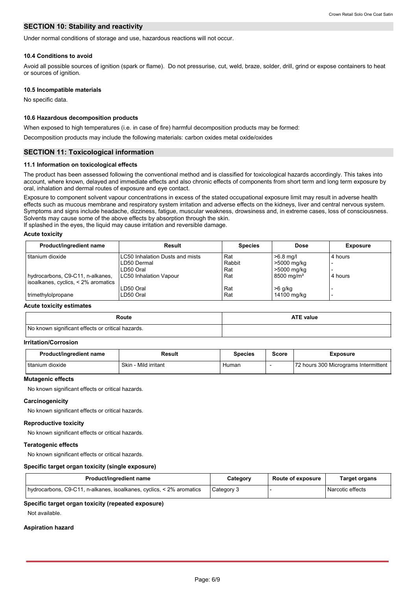## **SECTION 10: Stability and reactivity**

Under normal conditions of storage and use, hazardous reactions will not occur.

#### **10.4 Conditions to avoid**

Avoid all possible sources of ignition (spark or flame). Do not pressurise, cut, weld, braze, solder, drill, grind or expose containers to heat or sources of ignition.

#### **10.5 Incompatible materials**

No specific data.

## **10.6 Hazardous decomposition products**

When exposed to high temperatures (i.e. in case of fire) harmful decomposition products may be formed:

Decomposition products may include the following materials: carbon oxides metal oxide/oxides

## **SECTION 11: Toxicological information**

#### **11.1 Information on toxicological effects**

The product has been assessed following the conventional method and is classified for toxicological hazards accordingly. This takes into account, where known, delayed and immediate effects and also chronic effects of components from short term and long term exposure by oral, inhalation and dermal routes of exposure and eye contact.

Exposure to component solvent vapour concentrations in excess of the stated occupational exposure limit may result in adverse health effects such as mucous membrane and respiratory system irritation and adverse effects on the kidneys, liver and central nervous system. Symptoms and signs include headache, dizziness, fatigue, muscular weakness, drowsiness and, in extreme cases, loss of consciousness. Solvents may cause some of the above effects by absorption through the skin.

If splashed in the eyes, the liquid may cause irritation and reversible damage.

#### **Acute toxicity**

| Product/ingredient name             | Result                          | <b>Species</b> | <b>Dose</b>              | <b>Exposure</b> |
|-------------------------------------|---------------------------------|----------------|--------------------------|-----------------|
| titanium dioxide                    | LC50 Inhalation Dusts and mists | Rat            | $>6.8$ mg/l              | 4 hours         |
|                                     | LD50 Dermal                     | Rabbit         | >5000 mg/kg              |                 |
|                                     | LD50 Oral                       | Rat            | >5000 mg/kg              |                 |
| hydrocarbons, C9-C11, n-alkanes,    | <b>LC50 Inhalation Vapour</b>   | Rat            | $8500 \,\mathrm{mq/m^3}$ | 4 hours         |
| isoalkanes, cyclics, < 2% aromatics |                                 |                |                          |                 |
|                                     | LD50 Oral                       | Rat            | $>6$ g/kg                |                 |
| trimethylolpropane                  | LD50 Oral                       | Rat            | 14100 mg/kg              |                 |

#### **Acute toxicity estimates**

| Route                                             | <b>ATE value</b> |
|---------------------------------------------------|------------------|
| No known significant effects or critical hazards. |                  |

## **Irritation/Corrosion**

| Product/ingredient name | Result                | <b>Species</b> | Score | Exposure                             |
|-------------------------|-----------------------|----------------|-------|--------------------------------------|
| l titanium dioxide      | Skin<br>Mild irritant | Human          |       | 72 hours 300 Micrograms Intermittent |

## **Mutagenic effects**

No known significant effects or critical hazards.

#### **Carcinogenicity**

No known significant effects or critical hazards.

#### **Reproductive toxicity**

No known significant effects or critical hazards.

#### **Teratogenic effects**

No known significant effects or critical hazards.

#### **Specific target organ toxicity (single exposure)**

| Product/ingredient name                                              | Category   | <b>Route of exposure</b> | Target organs    |
|----------------------------------------------------------------------|------------|--------------------------|------------------|
| hydrocarbons, C9-C11, n-alkanes, isoalkanes, cyclics, < 2% aromatics | Category 3 |                          | Narcotic effects |

#### **Specific target organ toxicity (repeated exposure)**

Not available.

#### **Aspiration hazard**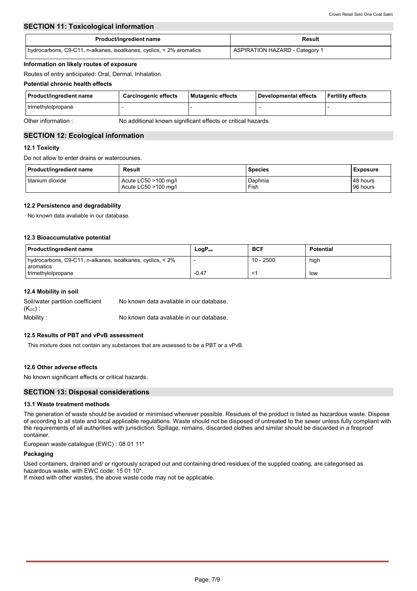## **SECTION 11: Toxicological information**

| Product/ingredient name                                              | Result                                |
|----------------------------------------------------------------------|---------------------------------------|
| hydrocarbons, C9-C11, n-alkanes, isoalkanes, cyclics, < 2% aromatics | <b>ASPIRATION HAZARD - Category 1</b> |

#### **Information on likely routes of exposure**

Routes of entry anticipated: Oral, Dermal, Inhalation.

## **Potential chronic health effects**

| Product/ingredient name | <b>Carcinogenic effects</b> | Mutagenic effects | Developmental effects | <b>Fertility effects</b> |
|-------------------------|-----------------------------|-------------------|-----------------------|--------------------------|
| trimethylolpropane      |                             |                   |                       |                          |
| _ _ _ _ _ _             | .<br><br>.<br>. .           | ---<br>.          |                       |                          |

Other information : No additional known significant effects or critical hazards.

## **SECTION 12: Ecological information**

## **12.1 Toxicity**

Do not allow to enter drains or watercourses.

| <b>Product/ingredient name</b> | Result               | Species | <b>Exposure</b> |
|--------------------------------|----------------------|---------|-----------------|
| I titanium dioxide             | Acute LC50 >100 mg/l | Daphnia | 48 hours        |
|                                | Acute LC50 >100 mg/l | Fish    | 96 hours        |

## **12.2 Persistence and degradability**

No known data avaliable in our database.

## **12.3 Bioaccumulative potential**

| Product/ingredient name                                                        | $LogP_{ow}$ | <b>BCF</b>  | <b>Potential</b> |
|--------------------------------------------------------------------------------|-------------|-------------|------------------|
| hydrocarbons, C9-C11, n-alkanes, isoalkanes, cyclics, < 2%<br><b>aromatics</b> |             | $10 - 2500$ | high             |
| trimethylolpropane                                                             | $-0.47$     |             | low              |

## **12.4 Mobility in soil**

| Soil/water partition coefficient | No known data avaliable in our database. |
|----------------------------------|------------------------------------------|
| $(K_{OC})$ .                     |                                          |
| Mobility:                        | No known data avaliable in our database. |

## **12.5 Results of PBT and vPvB assessment**

This mixture does not contain any substances that are assessed to be a PBT or a vPvB.

## **12.6 Other adverse effects**

No known significant effects or critical hazards.

## **SECTION 13: Disposal considerations**

## **13.1 Waste treatment methods**

The generation of waste should be avoided or minimised wherever possible. Residues of the product is listed as hazardous waste. Dispose of according to all state and local applicable regulations. Waste should not be disposed of untreated to the sewer unless fully compliant with the requirements of all authorities with jurisdiction. Spillage, remains, discarded clothes and similar should be discarded in a fireproof container.

European waste catalogue (EWC) : 08 01 11\*

#### **Packaging**

Used containers, drained and/ or rigorously scraped out and containing dried residues of the supplied coating, are categorised as hazardous waste, with EWC code: 15 01 10\*.

If mixed with other wastes, the above waste code may not be applicable.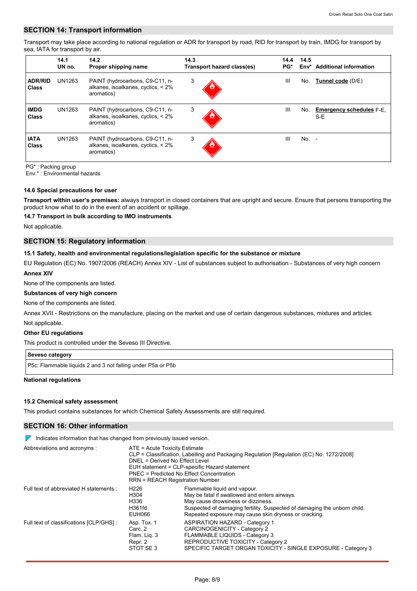## **SECTION 14: Transport information**

Transport may take place according to national regulation or ADR for transport by road, RID for transport by train, IMDG for transport by sea, IATA for transport by air.

|                                | 14.1<br>UN no. | 14.2<br>Proper shipping name                                                        | 14.3<br>Transport hazard class(es) | 14.4<br>PG*    | 14.5<br>Env* | <b>Additional information</b>          |
|--------------------------------|----------------|-------------------------------------------------------------------------------------|------------------------------------|----------------|--------------|----------------------------------------|
| <b>ADR/RID</b><br><b>Class</b> | UN1263         | PAINT (hydrocarbons, C9-C11, n-<br>alkanes, isoalkanes, cyclics, < 2%<br>aromatics) | 3                                  | $\mathbf{III}$ | No.          | Tunnel code (D/E)                      |
| <b>IMDG</b><br><b>Class</b>    | UN1263         | PAINT (hydrocarbons, C9-C11, n-<br>alkanes, isoalkanes, cyclics, < 2%<br>aromatics) | 3                                  | $\mathbf{III}$ | No.          | <b>Emergency schedules F-E.</b><br>S-E |
| <b>IATA</b><br><b>Class</b>    | UN1263         | PAINT (hydrocarbons, C9-C11, n-<br>alkanes, isoalkanes, cyclics, < 2%<br>aromatics) | 3                                  | $\mathbf{III}$ | $No. -$      |                                        |

PG\* : Packing group

Env.\* : Environmental hazards

#### **14.6 Special precautions for user**

**Transport within user's premises:** always transport in closed containers that are upright and secure. Ensure that persons transporting the product know what to do in the event of an accident or spillage.

#### **14.7 Transport in bulk according to IMO instruments**

Not applicable.

## **SECTION 15: Regulatory information**

#### **15.1 Safety, health and environmental regulations/legislation specific for the substance or mixture**

EU Regulation (EC) No. 1907/2006 (REACH) Annex XIV - List of substances subject to authorisation - Substances of very high concern

## **Annex XIV**

None of the components are listed.

**Substances of very high concern**

#### None of the components are listed.

Not applicable. Annex XVII - Restrictions on the manufacture, placing on the market and use of certain dangerous substances, mixtures and articles

#### **Other EU regulations**

This product is controlled under the Seveso III Directive.

## **Seveso category**

P5c: Flammable liquids 2 and 3 not falling under P5a or P5b

#### **National regulations**

#### **15.2 Chemical safety assessment**

This product contains substances for which Chemical Safety Assessments are still required.

## **SECTION 16: Other information**

 $\nabla$  Indicates information that has changed from previously issued version.

| Abbreviations and acronyms :             | ATE = Acute Toxicity Estimate<br>DNEL = Derived No Effect Level<br>PNEC = Predicted No Effect Concentration<br>RRN = REACH Registration Number | CLP = Classification, Labelling and Packaging Regulation [Regulation (EC) No. 1272/2008]<br>EUH statement = CLP-specific Hazard statement                                                                                                                |
|------------------------------------------|------------------------------------------------------------------------------------------------------------------------------------------------|----------------------------------------------------------------------------------------------------------------------------------------------------------------------------------------------------------------------------------------------------------|
| Full text of abbreviated H statements :  | H <sub>226</sub><br>H304<br>H336<br>H361fd<br>EUH066                                                                                           | Flammable liquid and vapour.<br>May be fatal if swallowed and enters airways.<br>May cause drowsiness or dizziness.<br>Suspected of damaging fertility. Suspected of damaging the unborn child.<br>Repeated exposure may cause skin dryness or cracking. |
| Full text of classifications [CLP/GHS] : | Asp. Tox. 1<br>Carc. 2<br>Flam. Lig. 3<br>Repr. 2<br>STOT SE3                                                                                  | ASPIRATION HAZARD - Category 1<br>CARCINOGENICITY - Category 2<br>FLAMMABLE LIQUIDS - Category 3<br>REPRODUCTIVE TOXICITY - Category 2<br>SPECIFIC TARGET ORGAN TOXICITY - SINGLE EXPOSURE - Category 3                                                  |